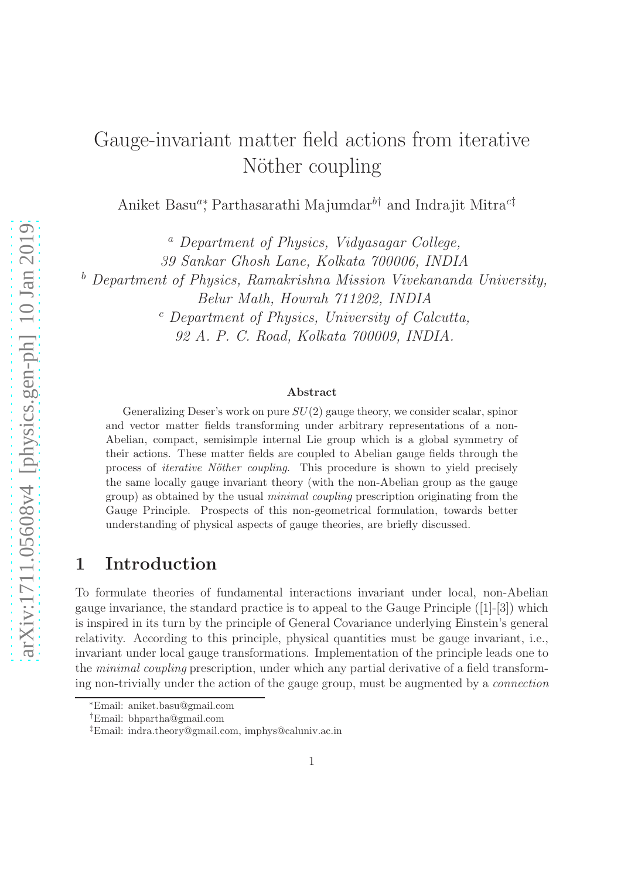# Gauge-invariant matter field actions from iterative Nöther coupling

Aniket Basu<sup>a</sup>\*, Parthasarathi Majumdar<sup>b†</sup> and Indrajit Mitra<sup>c‡</sup>

<sup>a</sup> Department of Physics, Vidyasagar College, 39 Sankar Ghosh Lane, Kolkata 700006, INDIA <sup>b</sup> Department of Physics, Ramakrishna Mission Vivekananda University, Belur Math, Howrah 711202, INDIA  $c$  Department of Physics, University of Calcutta, 92 A. P. C. Road, Kolkata 700009, INDIA.

#### Abstract

Generalizing Deser's work on pure  $SU(2)$  gauge theory, we consider scalar, spinor and vector matter fields transforming under arbitrary representations of a non-Abelian, compact, semisimple internal Lie group which is a global symmetry of their actions. These matter fields are coupled to Abelian gauge fields through the process of *iterative Nöther coupling*. This procedure is shown to yield precisely the same locally gauge invariant theory (with the non-Abelian group as the gauge group) as obtained by the usual minimal coupling prescription originating from the Gauge Principle. Prospects of this non-geometrical formulation, towards better understanding of physical aspects of gauge theories, are briefly discussed.

### 1 Introduction

To formulate theories of fundamental interactions invariant under local, non-Abelian gauge invariance, the standard practice is to appeal to the Gauge Principle ([1]-[3]) which is inspired in its turn by the principle of General Covariance underlying Einstein's general relativity. According to this principle, physical quantities must be gauge invariant, i.e., invariant under local gauge transformations. Implementation of the principle leads one to the minimal coupling prescription, under which any partial derivative of a field transforming non-trivially under the action of the gauge group, must be augmented by a connection

<sup>∗</sup>Email: aniket.basu@gmail.com

<sup>†</sup>Email: bhpartha@gmail.com

<sup>‡</sup>Email: indra.theory@gmail.com, imphys@caluniv.ac.in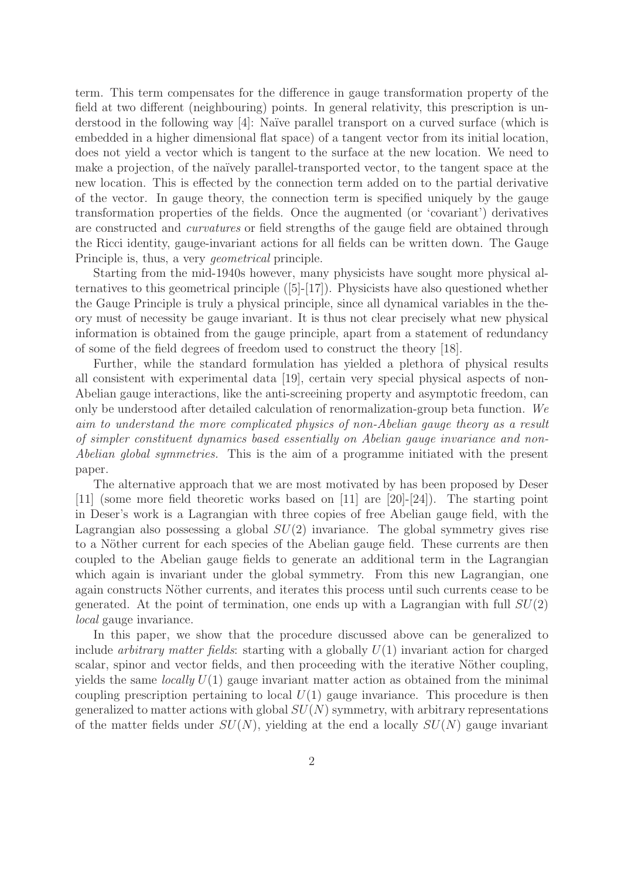term. This term compensates for the difference in gauge transformation property of the field at two different (neighbouring) points. In general relativity, this prescription is understood in the following way [4]: Naïve parallel transport on a curved surface (which is embedded in a higher dimensional flat space) of a tangent vector from its initial location, does not yield a vector which is tangent to the surface at the new location. We need to make a projection, of the naïvely parallel-transported vector, to the tangent space at the new location. This is effected by the connection term added on to the partial derivative of the vector. In gauge theory, the connection term is specified uniquely by the gauge transformation properties of the fields. Once the augmented (or 'covariant') derivatives are constructed and curvatures or field strengths of the gauge field are obtained through the Ricci identity, gauge-invariant actions for all fields can be written down. The Gauge Principle is, thus, a very geometrical principle.

Starting from the mid-1940s however, many physicists have sought more physical alternatives to this geometrical principle ([5]-[17]). Physicists have also questioned whether the Gauge Principle is truly a physical principle, since all dynamical variables in the theory must of necessity be gauge invariant. It is thus not clear precisely what new physical information is obtained from the gauge principle, apart from a statement of redundancy of some of the field degrees of freedom used to construct the theory [18].

Further, while the standard formulation has yielded a plethora of physical results all consistent with experimental data [19], certain very special physical aspects of non-Abelian gauge interactions, like the anti-screeining property and asymptotic freedom, can only be understood after detailed calculation of renormalization-group beta function. We aim to understand the more complicated physics of non-Abelian gauge theory as a result of simpler constituent dynamics based essentially on Abelian gauge invariance and non-Abelian global symmetries. This is the aim of a programme initiated with the present paper.

The alternative approach that we are most motivated by has been proposed by Deser [11] (some more field theoretic works based on [11] are [20]-[24]). The starting point in Deser's work is a Lagrangian with three copies of free Abelian gauge field, with the Lagrangian also possessing a global  $SU(2)$  invariance. The global symmetry gives rise to a Nöther current for each species of the Abelian gauge field. These currents are then coupled to the Abelian gauge fields to generate an additional term in the Lagrangian which again is invariant under the global symmetry. From this new Lagrangian, one again constructs Nöther currents, and iterates this process until such currents cease to be generated. At the point of termination, one ends up with a Lagrangian with full  $SU(2)$ local gauge invariance.

In this paper, we show that the procedure discussed above can be generalized to include *arbitrary matter fields*: starting with a globally  $U(1)$  invariant action for charged scalar, spinor and vector fields, and then proceeding with the iterative Nöther coupling, yields the same *locally*  $U(1)$  gauge invariant matter action as obtained from the minimal coupling prescription pertaining to local  $U(1)$  gauge invariance. This procedure is then generalized to matter actions with global  $SU(N)$  symmetry, with arbitrary representations of the matter fields under  $SU(N)$ , yielding at the end a locally  $SU(N)$  gauge invariant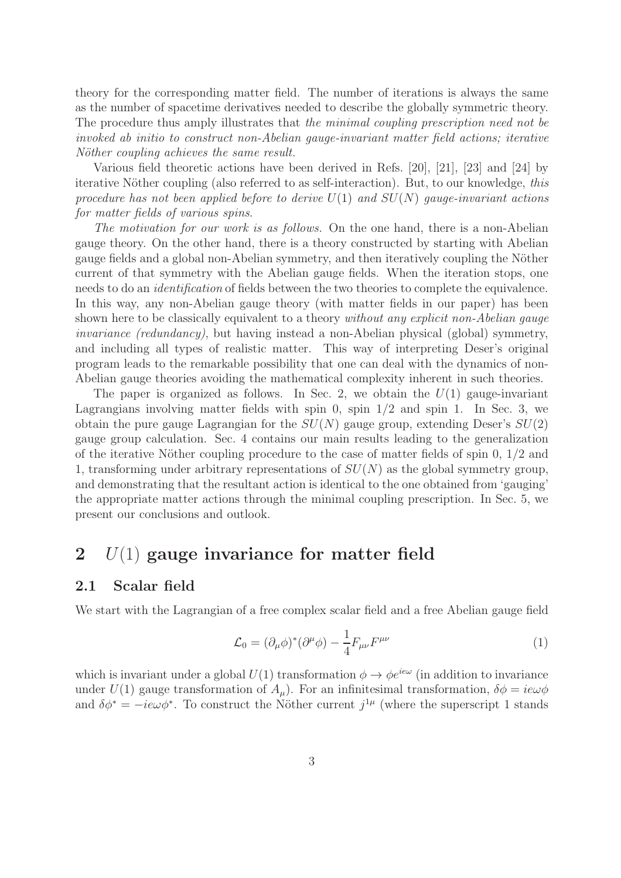theory for the corresponding matter field. The number of iterations is always the same as the number of spacetime derivatives needed to describe the globally symmetric theory. The procedure thus amply illustrates that the minimal coupling prescription need not be invoked ab initio to construct non-Abelian gauge-invariant matter field actions; iterative Nöther coupling achieves the same result.

Various field theoretic actions have been derived in Refs. [20], [21], [23] and [24] by iterative Nöther coupling (also referred to as self-interaction). But, to our knowledge, this procedure has not been applied before to derive  $U(1)$  and  $SU(N)$  gauge-invariant actions for matter fields of various spins.

The motivation for our work is as follows. On the one hand, there is a non-Abelian gauge theory. On the other hand, there is a theory constructed by starting with Abelian gauge fields and a global non-Abelian symmetry, and then iteratively coupling the Nöther current of that symmetry with the Abelian gauge fields. When the iteration stops, one needs to do an identification of fields between the two theories to complete the equivalence. In this way, any non-Abelian gauge theory (with matter fields in our paper) has been shown here to be classically equivalent to a theory without any explicit non-Abelian gauge invariance (redundancy), but having instead a non-Abelian physical (global) symmetry, and including all types of realistic matter. This way of interpreting Deser's original program leads to the remarkable possibility that one can deal with the dynamics of non-Abelian gauge theories avoiding the mathematical complexity inherent in such theories.

The paper is organized as follows. In Sec. 2, we obtain the  $U(1)$  gauge-invariant Lagrangians involving matter fields with spin 0, spin  $1/2$  and spin 1. In Sec. 3, we obtain the pure gauge Lagrangian for the  $SU(N)$  gauge group, extending Deser's  $SU(2)$ gauge group calculation. Sec. 4 contains our main results leading to the generalization of the iterative Nöther coupling procedure to the case of matter fields of spin  $0, 1/2$  and 1, transforming under arbitrary representations of  $SU(N)$  as the global symmetry group, and demonstrating that the resultant action is identical to the one obtained from 'gauging' the appropriate matter actions through the minimal coupling prescription. In Sec. 5, we present our conclusions and outlook.

### 2  $U(1)$  gauge invariance for matter field

### 2.1 Scalar field

We start with the Lagrangian of a free complex scalar field and a free Abelian gauge field

$$
\mathcal{L}_0 = (\partial_\mu \phi)^* (\partial^\mu \phi) - \frac{1}{4} F_{\mu\nu} F^{\mu\nu} \tag{1}
$$

which is invariant under a global  $U(1)$  transformation  $\phi \to \phi e^{ie\omega}$  (in addition to invariance under  $U(1)$  gauge transformation of  $A<sub>u</sub>$ ). For an infinitesimal transformation,  $\delta\phi = i\epsilon\omega\phi$ and  $\delta\phi^* = -ie\omega\phi^*$ . To construct the Nöther current  $j^{1\mu}$  (where the superscript 1 stands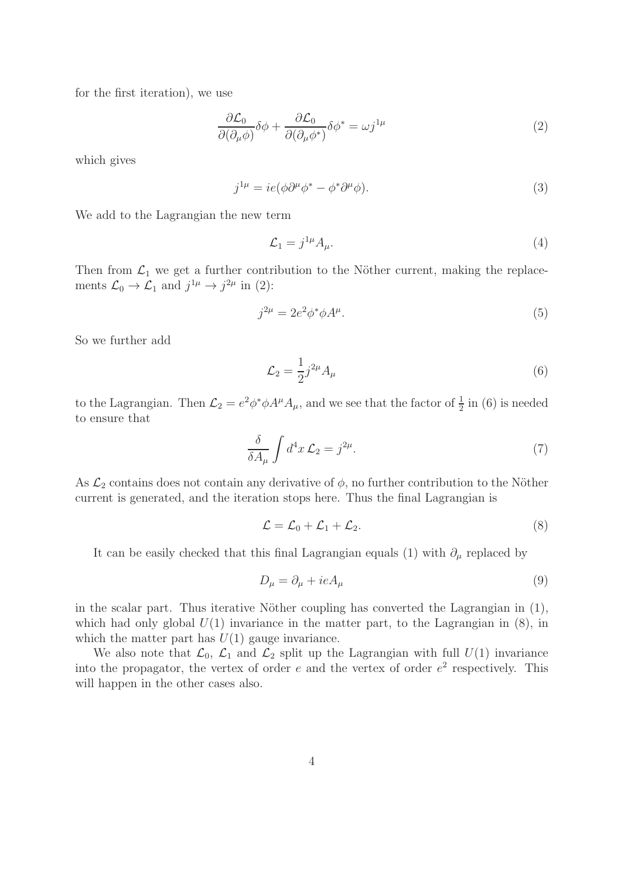for the first iteration), we use

$$
\frac{\partial \mathcal{L}_0}{\partial(\partial_\mu \phi)} \delta \phi + \frac{\partial \mathcal{L}_0}{\partial(\partial_\mu \phi^*)} \delta \phi^* = \omega j^{1\mu} \tag{2}
$$

which gives

$$
j^{1\mu} = ie(\phi\partial^{\mu}\phi^* - \phi^*\partial^{\mu}\phi).
$$
\n(3)

We add to the Lagrangian the new term

$$
\mathcal{L}_1 = j^{1\mu} A_{\mu}.\tag{4}
$$

Then from  $\mathcal{L}_1$  we get a further contribution to the Nöther current, making the replacements  $\mathcal{L}_0 \to \mathcal{L}_1$  and  $j^{1\mu} \to j^{2\mu}$  in (2):

$$
j^{2\mu} = 2e^2 \phi^* \phi A^{\mu}.
$$
\n<sup>(5)</sup>

So we further add

$$
\mathcal{L}_2 = \frac{1}{2} j^{2\mu} A_\mu \tag{6}
$$

to the Lagrangian. Then  $\mathcal{L}_2 = e^2 \phi^* \phi A^{\mu} A_{\mu}$ , and we see that the factor of  $\frac{1}{2}$  in (6) is needed to ensure that

$$
\frac{\delta}{\delta A_{\mu}} \int d^4 x \mathcal{L}_2 = j^{2\mu}.
$$
\n(7)

As  $\mathcal{L}_2$  contains does not contain any derivative of  $\phi$ , no further contribution to the Nöther current is generated, and the iteration stops here. Thus the final Lagrangian is

$$
\mathcal{L} = \mathcal{L}_0 + \mathcal{L}_1 + \mathcal{L}_2. \tag{8}
$$

It can be easily checked that this final Lagrangian equals (1) with  $\partial_{\mu}$  replaced by

$$
D_{\mu} = \partial_{\mu} + ieA_{\mu} \tag{9}
$$

in the scalar part. Thus iterative Nöther coupling has converted the Lagrangian in  $(1)$ , which had only global  $U(1)$  invariance in the matter part, to the Lagrangian in (8), in which the matter part has  $U(1)$  gauge invariance.

We also note that  $\mathcal{L}_0$ ,  $\mathcal{L}_1$  and  $\mathcal{L}_2$  split up the Lagrangian with full  $U(1)$  invariance into the propagator, the vertex of order  $e$  and the vertex of order  $e^2$  respectively. This will happen in the other cases also.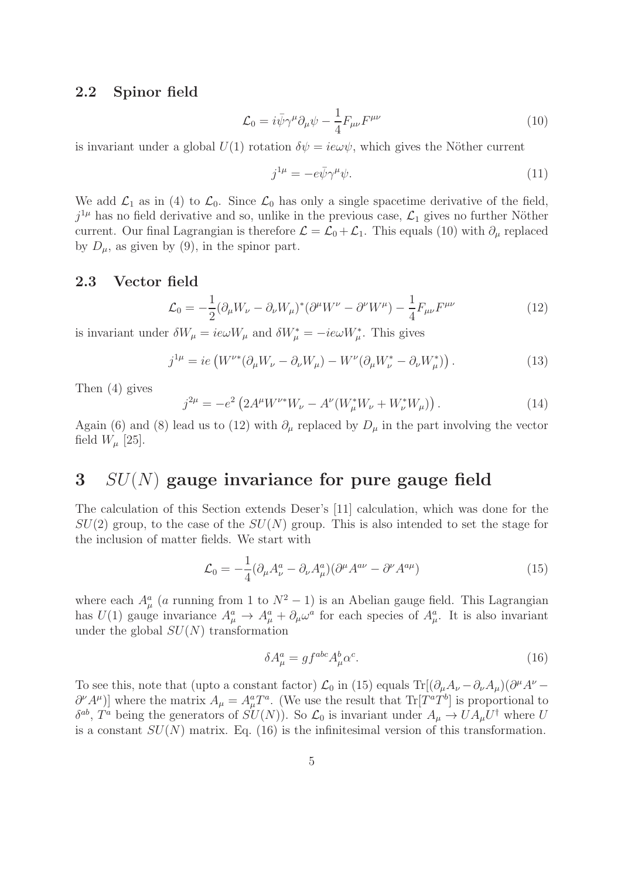#### 2.2 Spinor field

$$
\mathcal{L}_0 = i\bar{\psi}\gamma^{\mu}\partial_{\mu}\psi - \frac{1}{4}F_{\mu\nu}F^{\mu\nu}
$$
\n(10)

is invariant under a global  $U(1)$  rotation  $\delta \psi = i e \omega \psi$ , which gives the Nöther current

$$
j^{1\mu} = -e\bar{\psi}\gamma^{\mu}\psi. \tag{11}
$$

We add  $\mathcal{L}_1$  as in (4) to  $\mathcal{L}_0$ . Since  $\mathcal{L}_0$  has only a single spacetime derivative of the field,  $j^{1\mu}$  has no field derivative and so, unlike in the previous case,  $\mathcal{L}_1$  gives no further Nöther current. Our final Lagrangian is therefore  $\mathcal{L} = \mathcal{L}_0 + \mathcal{L}_1$ . This equals (10) with  $\partial_\mu$  replaced by  $D_{\mu}$ , as given by (9), in the spinor part.

#### 2.3 Vector field

$$
\mathcal{L}_0 = -\frac{1}{2} (\partial_\mu W_\nu - \partial_\nu W_\mu)^* (\partial^\mu W^\nu - \partial^\nu W^\mu) - \frac{1}{4} F_{\mu\nu} F^{\mu\nu} \tag{12}
$$

is invariant under  $\delta W_{\mu} = ie\omega W_{\mu}$  and  $\delta W_{\mu}^* = -ie\omega W_{\mu}^*$ . This gives

$$
j^{1\mu} = ie \left( W^{\nu*} (\partial_{\mu} W_{\nu} - \partial_{\nu} W_{\mu}) - W^{\nu} (\partial_{\mu} W_{\nu}^* - \partial_{\nu} W_{\mu}^*) \right). \tag{13}
$$

Then (4) gives

$$
j^{2\mu} = -e^2 \left( 2A^{\mu} W^{\nu *} W_{\nu} - A^{\nu} (W_{\mu}^* W_{\nu} + W_{\nu}^* W_{\mu}) \right). \tag{14}
$$

Again (6) and (8) lead us to (12) with  $\partial_{\mu}$  replaced by  $D_{\mu}$  in the part involving the vector field  $W_\mu$  [25].

## $3 \quad SU(N)$  gauge invariance for pure gauge field

The calculation of this Section extends Deser's [11] calculation, which was done for the  $SU(2)$  group, to the case of the  $SU(N)$  group. This is also intended to set the stage for the inclusion of matter fields. We start with

$$
\mathcal{L}_0 = -\frac{1}{4} (\partial_\mu A_\nu^a - \partial_\nu A_\mu^a) (\partial^\mu A^{a\nu} - \partial^\nu A^{a\mu}) \tag{15}
$$

where each  $A^a_\mu$  (a running from 1 to  $N^2-1$ ) is an Abelian gauge field. This Lagrangian has  $U(1)$  gauge invariance  $A^a_\mu \to A^a_\mu + \partial_\mu \omega^a$  for each species of  $A^a_\mu$ . It is also invariant under the global  $SU(N)$  transformation

$$
\delta A^a_\mu = g f^{abc} A^b_\mu \alpha^c. \tag{16}
$$

To see this, note that (upto a constant factor)  $\mathcal{L}_0$  in (15) equals Tr[ $(\partial_\mu A_\nu - \partial_\nu A_\mu)(\partial^\mu A^\nu \partial^{\nu}A^{\mu}$ )] where the matrix  $A_{\mu} = A_{\mu}^{a}T^{a}$ . (We use the result that  $\text{Tr}[T^{a}T^{b}]$  is proportional to  $\delta^{ab}$ ,  $T^a$  being the generators of  $SU(N)$ ). So  $\mathcal{L}_0$  is invariant under  $A_\mu \to U A_\mu U^\dagger$  where U is a constant  $SU(N)$  matrix. Eq. (16) is the infinitesimal version of this transformation.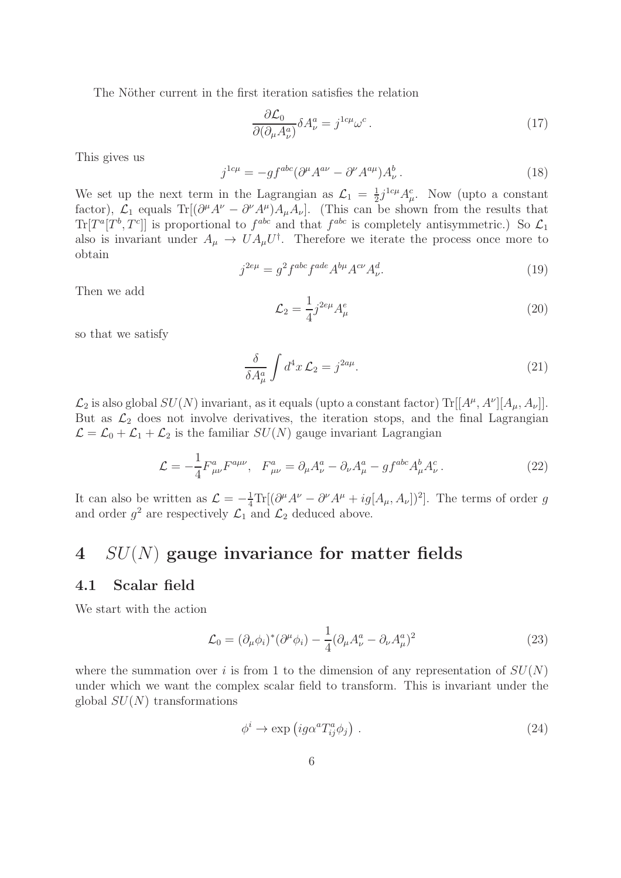The Nöther current in the first iteration satisfies the relation

$$
\frac{\partial \mathcal{L}_0}{\partial (\partial_\mu A_\nu^a)} \delta A_\nu^a = j^{1c\mu} \omega^c \,. \tag{17}
$$

This gives us

$$
j^{1c\mu} = -gf^{abc}(\partial^{\mu}A^{a\nu} - \partial^{\nu}A^{a\mu})A^{b}_{\nu}.
$$
\n(18)

We set up the next term in the Lagrangian as  $\mathcal{L}_1 = \frac{1}{2}$  $\frac{1}{2}j^{1c\mu}A_{\mu}^{c}$ . Now (upto a constant factor),  $\mathcal{L}_1$  equals Tr[ $(\partial^{\mu}A^{\nu} - \partial^{\nu}A^{\mu})A_{\mu}A_{\nu}$ ]. (This can be shown from the results that  $Tr[T^a[T^b, T^c]]$  is proportional to  $f^{abc}$  and that  $f^{abc}$  is completely antisymmetric.) So  $\mathcal{L}_1$ also is invariant under  $A_{\mu} \to U A_{\mu} U^{\dagger}$ . Therefore we iterate the process once more to obtain

$$
j^{2e\mu} = g^2 f^{abc} f^{ade} A^{b\mu} A^{c\nu} A^d_{\nu}.
$$
\n(19)

Then we add

$$
\mathcal{L}_2 = \frac{1}{4} j^{2e\mu} A^e_{\mu} \tag{20}
$$

so that we satisfy

$$
\frac{\delta}{\delta A^a_\mu} \int d^4x \mathcal{L}_2 = j^{2a\mu}.\tag{21}
$$

 $\mathcal{L}_2$  is also global  $SU(N)$  invariant, as it equals (upto a constant factor)  $\text{Tr}[[A^{\mu}, A^{\nu}][A_{\mu}, A_{\nu}]]$ . But as  $\mathcal{L}_2$  does not involve derivatives, the iteration stops, and the final Lagrangian  $\mathcal{L} = \mathcal{L}_0 + \mathcal{L}_1 + \mathcal{L}_2$  is the familiar  $SU(N)$  gauge invariant Lagrangian

$$
\mathcal{L} = -\frac{1}{4} F^{a}_{\mu\nu} F^{a\mu\nu}, \quad F^{a}_{\mu\nu} = \partial_{\mu} A^{a}_{\nu} - \partial_{\nu} A^{a}_{\mu} - g f^{abc} A^{b}_{\mu} A^{c}_{\nu} \,. \tag{22}
$$

It can also be written as  $\mathcal{L} = -\frac{1}{4} \text{Tr}[(\partial^{\mu} A^{\nu} - \partial^{\nu} A^{\mu} + ig[A_{\mu}, A_{\nu}])^{2}]$ . The terms of order g and order  $g^2$  are respectively  $\mathcal{L}_1$  and  $\mathcal{L}_2$  deduced above.

### 4  $SU(N)$  gauge invariance for matter fields

#### 4.1 Scalar field

We start with the action

$$
\mathcal{L}_0 = (\partial_\mu \phi_i)^* (\partial^\mu \phi_i) - \frac{1}{4} (\partial_\mu A_\nu^a - \partial_\nu A_\mu^a)^2 \tag{23}
$$

where the summation over i is from 1 to the dimension of any representation of  $SU(N)$ under which we want the complex scalar field to transform. This is invariant under the global  $SU(N)$  transformations

$$
\phi^i \to \exp\left(ig\alpha^a T_{ij}^a \phi_j\right) \,. \tag{24}
$$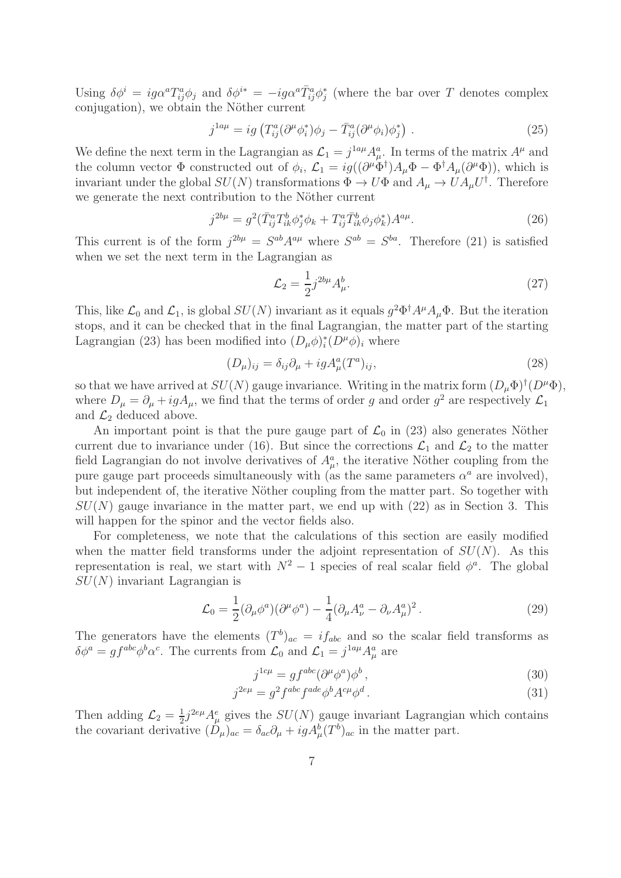Using  $\delta\phi^i = ig \alpha^a T^a_{ij} \phi_j$  and  $\delta\phi^{i*} = -ig \alpha^a \bar{T}^a_{ij} \phi_j^*$  (where the bar over T denotes complex conjugation), we obtain the Nöther current

$$
j^{1a\mu} = ig \left( T_{ij}^a (\partial^\mu \phi_i^*) \phi_j - \bar{T}_{ij}^a (\partial^\mu \phi_i) \phi_j^* \right) . \tag{25}
$$

We define the next term in the Lagrangian as  $\mathcal{L}_1 = j^{1a\mu} A^a_\mu$ . In terms of the matrix  $A^\mu$  and the column vector  $\Phi$  constructed out of  $\phi_i$ ,  $\mathcal{L}_1 = ig((\partial^{\mu} \Phi^{\dagger}) A_{\mu} \Phi - \Phi^{\dagger} A_{\mu} (\partial^{\mu} \Phi))$ , which is invariant under the global  $SU(N)$  transformations  $\Phi \to U\Phi$  and  $A_{\mu} \to U A_{\mu} U^{\dagger}$ . Therefore we generate the next contribution to the Nöther current

$$
j^{2b\mu} = g^2(\bar{T}_{ij}^a T_{ik}^b \phi_j^* \phi_k + T_{ij}^a \bar{T}_{ik}^b \phi_j \phi_k^*) A^{a\mu}.
$$
 (26)

This current is of the form  $j^{2b\mu} = S^{ab}A^{a\mu}$  where  $S^{ab} = S^{ba}$ . Therefore (21) is satisfied when we set the next term in the Lagrangian as

$$
\mathcal{L}_2 = \frac{1}{2} j^{2b\mu} A^b_\mu.
$$
\n(27)

This, like  $\mathcal{L}_0$  and  $\mathcal{L}_1$ , is global  $SU(N)$  invariant as it equals  $g^2\Phi^{\dagger}A^{\mu}A_{\mu}\Phi$ . But the iteration stops, and it can be checked that in the final Lagrangian, the matter part of the starting Lagrangian (23) has been modified into  $(D_{\mu}\phi)^{*}_{i}(D^{\mu}\phi)_{i}$  where

$$
(D_{\mu})_{ij} = \delta_{ij}\partial_{\mu} + igA_{\mu}^{a}(T^{a})_{ij},\tag{28}
$$

so that we have arrived at  $SU(N)$  gauge invariance. Writing in the matrix form  $(D_{\mu}\Phi)^{\dagger}(D^{\mu}\Phi)$ , where  $D_{\mu} = \partial_{\mu} + igA_{\mu}$ , we find that the terms of order g and order  $g^2$  are respectively  $\mathcal{L}_1$ and  $\mathcal{L}_2$  deduced above.

An important point is that the pure gauge part of  $\mathcal{L}_0$  in (23) also generates Nöther current due to invariance under (16). But since the corrections  $\mathcal{L}_1$  and  $\mathcal{L}_2$  to the matter field Lagrangian do not involve derivatives of  $A^a_\mu$ , the iterative Nöther coupling from the pure gauge part proceeds simultaneously with (as the same parameters  $\alpha^a$  are involved), but independent of, the iterative Nöther coupling from the matter part. So together with  $SU(N)$  gauge invariance in the matter part, we end up with  $(22)$  as in Section 3. This will happen for the spinor and the vector fields also.

For completeness, we note that the calculations of this section are easily modified when the matter field transforms under the adjoint representation of  $SU(N)$ . As this representation is real, we start with  $N^2-1$  species of real scalar field  $\phi^a$ . The global  $SU(N)$  invariant Lagrangian is

$$
\mathcal{L}_0 = \frac{1}{2} (\partial_\mu \phi^a)(\partial^\mu \phi^a) - \frac{1}{4} (\partial_\mu A_\nu^a - \partial_\nu A_\mu^a)^2. \tag{29}
$$

The generators have the elements  $(T^b)_{ac} = i f_{abc}$  and so the scalar field transforms as  $\delta\phi^a = gf^{abc}\phi^b\alpha^c$ . The currents from  $\mathcal{L}_0$  and  $\mathcal{L}_1 = j^{1a\mu}A^a_\mu$  are

$$
j^{1c\mu} = gf^{abc}(\partial^{\mu}\phi^{a})\phi^{b}, \qquad (30)
$$

$$
j^{2e\mu} = g^2 f^{abc} f^{ade} \phi^b A^{c\mu} \phi^d.
$$
\n(31)

Then adding  $\mathcal{L}_2 = \frac{1}{2}$  $\frac{1}{2}j^{2e\mu}A_{\mu}^{e}$  gives the  $SU(N)$  gauge invariant Lagrangian which contains the covariant derivative  $(D_{\mu})_{ac} = \delta_{ac}\partial_{\mu} + igA_{\mu}^{b}(T^{b})_{ac}$  in the matter part.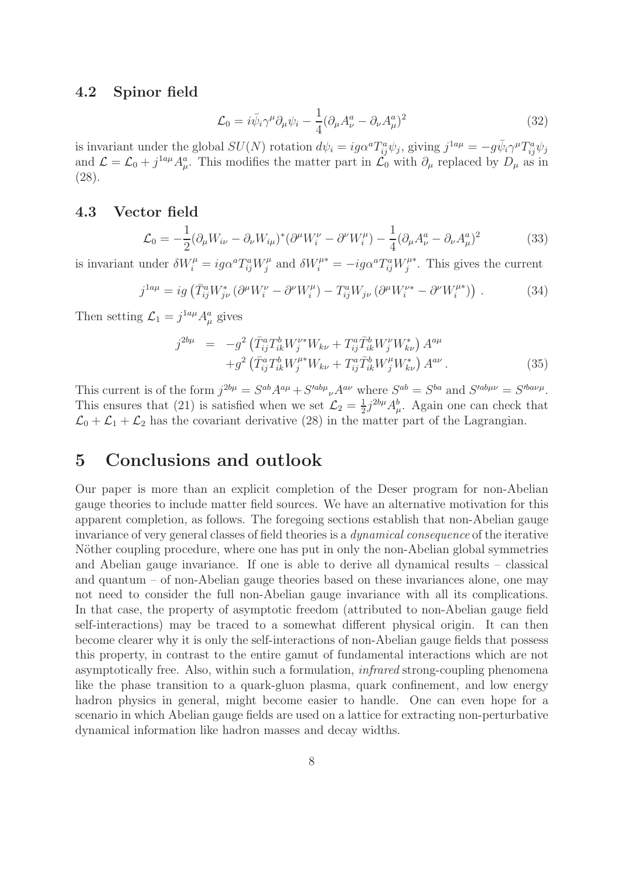#### 4.2 Spinor field

$$
\mathcal{L}_0 = i\bar{\psi}_i \gamma^\mu \partial_\mu \psi_i - \frac{1}{4} (\partial_\mu A_\nu^a - \partial_\nu A_\mu^a)^2 \tag{32}
$$

is invariant under the global  $SU(N)$  rotation  $d\psi_i = ig\alpha^a T_{ij}^a \psi_j$ , giving  $j^{1a\mu} = -g\bar{\psi}_i \gamma^\mu T_{ij}^a \psi_j$ and  $\mathcal{L} = \mathcal{L}_0 + j^{1a\mu} A^a_\mu$ . This modifies the matter part in  $\mathcal{L}_0$  with  $\partial_\mu$  replaced by  $D_\mu$  as in (28).

#### 4.3 Vector field

$$
\mathcal{L}_0 = -\frac{1}{2} (\partial_\mu W_{i\nu} - \partial_\nu W_{i\mu})^* (\partial^\mu W_i^\nu - \partial^\nu W_i^\mu) - \frac{1}{4} (\partial_\mu A_\nu^a - \partial_\nu A_\mu^a)^2 \tag{33}
$$

is invariant under  $\delta W_i^{\mu} = ig \alpha^a T_{ij}^a W_j^{\mu}$  $j^{\mu}$  and  $\delta W_i^{\mu *} = -ig\alpha^a T^a_{ij} W_j^{\mu *}$  $j^{\mu*}$ . This gives the current

$$
j^{1a\mu} = ig\left(\bar{T}_{ij}^a W_{j\nu}^* \left(\partial^\mu W_i^\nu - \partial^\nu W_i^\mu\right) - T_{ij}^a W_{j\nu} \left(\partial^\mu W_i^{\nu*} - \partial^\nu W_i^{\mu*}\right)\right) \,. \tag{34}
$$

Then setting  $\mathcal{L}_1 = j^{1a\mu} A^a_\mu$  gives

$$
j^{2b\mu} = -g^2 \left( \bar{T}_{ij}^a T_{ik}^b W_{j}^{\nu *} W_{k\nu} + T_{ij}^a \bar{T}_{ik}^b W_{j}^{\nu} W_{k\nu}^* \right) A^{a\mu} + g^2 \left( \bar{T}_{ij}^a T_{ik}^b W_{j}^{\mu *} W_{k\nu} + T_{ij}^a \bar{T}_{ik}^b W_{j}^{\mu} W_{k\nu}^* \right) A^{a\nu} .
$$
 (35)

This current is of the form  $j^{2b\mu} = S^{ab}A^{a\mu} + S'^{ab\mu}{}_{\nu}A^{a\nu}$  where  $S^{ab} = S^{ba}$  and  $S'^{ab\mu\nu} = S'^{b a \nu\mu}$ . This ensures that (21) is satisfied when we set  $\mathcal{L}_2 = \frac{1}{2}$  $\frac{1}{2}j^{2b\mu}A_{\mu}^{b}$ . Again one can check that  $\mathcal{L}_0 + \mathcal{L}_1 + \mathcal{L}_2$  has the covariant derivative (28) in the matter part of the Lagrangian.

### 5 Conclusions and outlook

Our paper is more than an explicit completion of the Deser program for non-Abelian gauge theories to include matter field sources. We have an alternative motivation for this apparent completion, as follows. The foregoing sections establish that non-Abelian gauge invariance of very general classes of field theories is a dynamical consequence of the iterative Nöther coupling procedure, where one has put in only the non-Abelian global symmetries and Abelian gauge invariance. If one is able to derive all dynamical results – classical and quantum – of non-Abelian gauge theories based on these invariances alone, one may not need to consider the full non-Abelian gauge invariance with all its complications. In that case, the property of asymptotic freedom (attributed to non-Abelian gauge field self-interactions) may be traced to a somewhat different physical origin. It can then become clearer why it is only the self-interactions of non-Abelian gauge fields that possess this property, in contrast to the entire gamut of fundamental interactions which are not asymptotically free. Also, within such a formulation, infrared strong-coupling phenomena like the phase transition to a quark-gluon plasma, quark confinement, and low energy hadron physics in general, might become easier to handle. One can even hope for a scenario in which Abelian gauge fields are used on a lattice for extracting non-perturbative dynamical information like hadron masses and decay widths.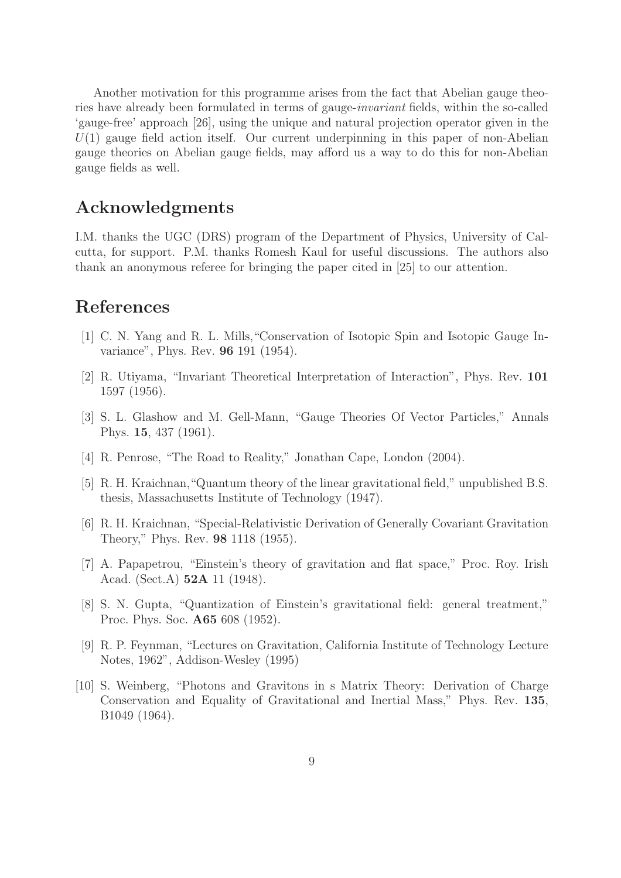Another motivation for this programme arises from the fact that Abelian gauge theories have already been formulated in terms of gauge-invariant fields, within the so-called 'gauge-free' approach [26], using the unique and natural projection operator given in the  $U(1)$  gauge field action itself. Our current underpinning in this paper of non-Abelian gauge theories on Abelian gauge fields, may afford us a way to do this for non-Abelian gauge fields as well.

### Acknowledgments

I.M. thanks the UGC (DRS) program of the Department of Physics, University of Calcutta, for support. P.M. thanks Romesh Kaul for useful discussions. The authors also thank an anonymous referee for bringing the paper cited in [25] to our attention.

### References

- [1] C. N. Yang and R. L. Mills,"Conservation of Isotopic Spin and Isotopic Gauge Invariance", Phys. Rev. 96 191 (1954).
- [2] R. Utiyama, "Invariant Theoretical Interpretation of Interaction", Phys. Rev. 101 1597 (1956).
- [3] S. L. Glashow and M. Gell-Mann, "Gauge Theories Of Vector Particles," Annals Phys. 15, 437 (1961).
- [4] R. Penrose, "The Road to Reality," Jonathan Cape, London (2004).
- [5] R. H. Kraichnan,"Quantum theory of the linear gravitational field," unpublished B.S. thesis, Massachusetts Institute of Technology (1947).
- [6] R. H. Kraichnan, "Special-Relativistic Derivation of Generally Covariant Gravitation Theory," Phys. Rev. 98 1118 (1955).
- [7] A. Papapetrou, "Einstein's theory of gravitation and flat space," Proc. Roy. Irish Acad. (Sect.A) 52A 11 (1948).
- [8] S. N. Gupta, "Quantization of Einstein's gravitational field: general treatment," Proc. Phys. Soc. A65 608 (1952).
- [9] R. P. Feynman, "Lectures on Gravitation, California Institute of Technology Lecture Notes, 1962", Addison-Wesley (1995)
- [10] S. Weinberg, "Photons and Gravitons in s Matrix Theory: Derivation of Charge Conservation and Equality of Gravitational and Inertial Mass," Phys. Rev. 135, B1049 (1964).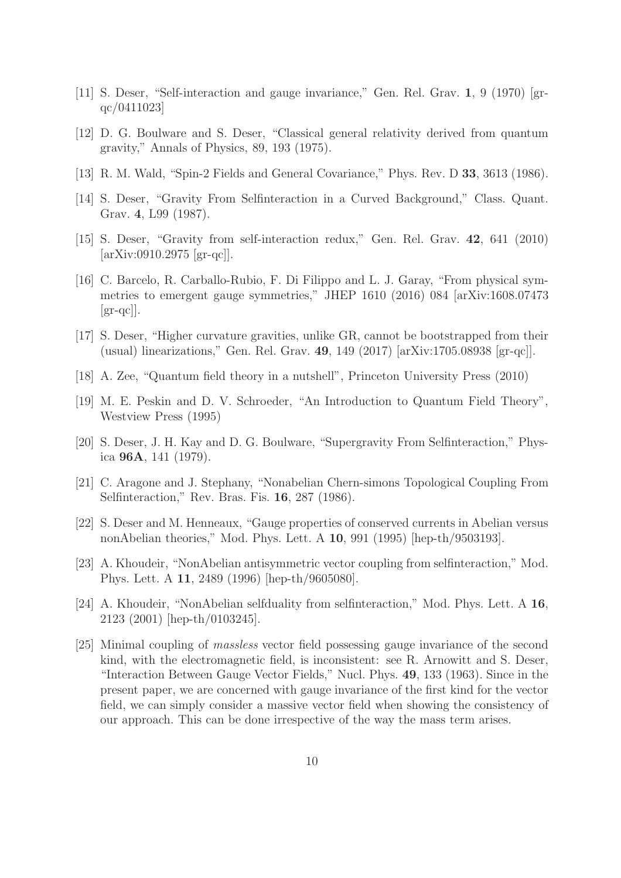- [11] S. Deser, "Self-interaction and gauge invariance," Gen. Rel. Grav. 1, 9 (1970) [grqc/0411023]
- [12] D. G. Boulware and S. Deser, "Classical general relativity derived from quantum gravity," Annals of Physics, 89, 193 (1975).
- [13] R. M. Wald, "Spin-2 Fields and General Covariance," Phys. Rev. D 33, 3613 (1986).
- [14] S. Deser, "Gravity From Selfinteraction in a Curved Background," Class. Quant. Grav. 4, L99 (1987).
- [15] S. Deser, "Gravity from self-interaction redux," Gen. Rel. Grav. 42, 641 (2010) [arXiv:0910.2975 [gr-qc]].
- [16] C. Barcelo, R. Carballo-Rubio, F. Di Filippo and L. J. Garay, "From physical symmetries to emergent gauge symmetries," JHEP 1610 (2016) 084 [arXiv:1608.07473  $\left[\text{gr-qc}\right]$ .
- [17] S. Deser, "Higher curvature gravities, unlike GR, cannot be bootstrapped from their (usual) linearizations," Gen. Rel. Grav. 49, 149 (2017) [arXiv:1705.08938 [gr-qc]].
- [18] A. Zee, "Quantum field theory in a nutshell", Princeton University Press (2010)
- [19] M. E. Peskin and D. V. Schroeder, "An Introduction to Quantum Field Theory", Westview Press (1995)
- [20] S. Deser, J. H. Kay and D. G. Boulware, "Supergravity From Selfinteraction," Physica 96A, 141 (1979).
- [21] C. Aragone and J. Stephany, "Nonabelian Chern-simons Topological Coupling From Selfinteraction," Rev. Bras. Fis. 16, 287 (1986).
- [22] S. Deser and M. Henneaux, "Gauge properties of conserved currents in Abelian versus nonAbelian theories," Mod. Phys. Lett. A 10, 991 (1995) [hep-th/9503193].
- [23] A. Khoudeir, "NonAbelian antisymmetric vector coupling from selfinteraction," Mod. Phys. Lett. A 11, 2489 (1996) [hep-th/9605080].
- [24] A. Khoudeir, "NonAbelian selfduality from selfinteraction," Mod. Phys. Lett. A 16, 2123 (2001) [hep-th/0103245].
- [25] Minimal coupling of massless vector field possessing gauge invariance of the second kind, with the electromagnetic field, is inconsistent: see R. Arnowitt and S. Deser, "Interaction Between Gauge Vector Fields," Nucl. Phys. 49, 133 (1963). Since in the present paper, we are concerned with gauge invariance of the first kind for the vector field, we can simply consider a massive vector field when showing the consistency of our approach. This can be done irrespective of the way the mass term arises.